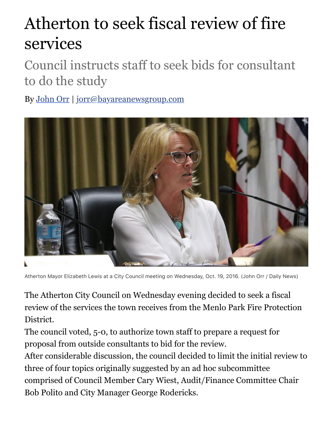## Atherton to seek fiscal review of fire services

Council instructs staff to seek bids for consultant to do the study

By [John Orr](http://www.mercurynews.com/author/john-orr/) | [jorr@bayareanewsgroup.com](mailto:jorr@bayareanewsgroup.com)



Atherton Mayor Elizabeth Lewis at a City Council meeting on Wednesday, Oct. 19, 2016. (John Orr / Daily News)

The Atherton City Council on Wednesday evening decided to seek a fiscal review of the services the town receives from the Menlo Park Fire Protection District.

The council voted, 5-0, to authorize town staff to prepare a request for proposal from outside consultants to bid for the review.

After considerable discussion, the council decided to limit the initial review to three of four topics originally suggested by an ad hoc subcommittee comprised of Council Member Cary Wiest, Audit/Finance Committee Chair Bob Polito and City Manager George Rodericks.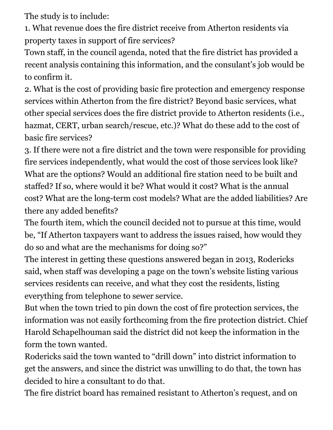The study is to include:

1. What revenue does the fire district receive from Atherton residents via property taxes in support of fire services?

Town staff, in the council agenda, noted that the fire district has provided a recent analysis containing this information, and the consulant's job would be to confirm it.

2. What is the cost of providing basic fire protection and emergency response services within Atherton from the fire district? Beyond basic services, what other special services does the fire district provide to Atherton residents (i.e., hazmat, CERT, urban search/rescue, etc.)? What do these add to the cost of basic fire services?

3. If there were not a fire district and the town were responsible for providing fire services independently, what would the cost of those services look like? What are the options? Would an additional fire station need to be built and staffed? If so, where would it be? What would it cost? What is the annual cost? What are the long-term cost models? What are the added liabilities? Are there any added benefits?

The fourth item, which the council decided not to pursue at this time, would be, "If Atherton taxpayers want to address the issues raised, how would they do so and what are the mechanisms for doing so?"

The interest in getting these questions answered began in 2013, Rodericks said, when staff was developing a page on the town's website listing various services residents can receive, and what they cost the residents, listing everything from telephone to sewer service.

But when the town tried to pin down the cost of fire protection services, the information was not easily forthcoming from the fire protection district. Chief Harold Schapelhouman said the district did not keep the information in the form the town wanted.

Rodericks said the town wanted to "drill down" into district information to get the answers, and since the district was unwilling to do that, the town has decided to hire a consultant to do that.

The fire district board has remained resistant to Atherton's request, and on